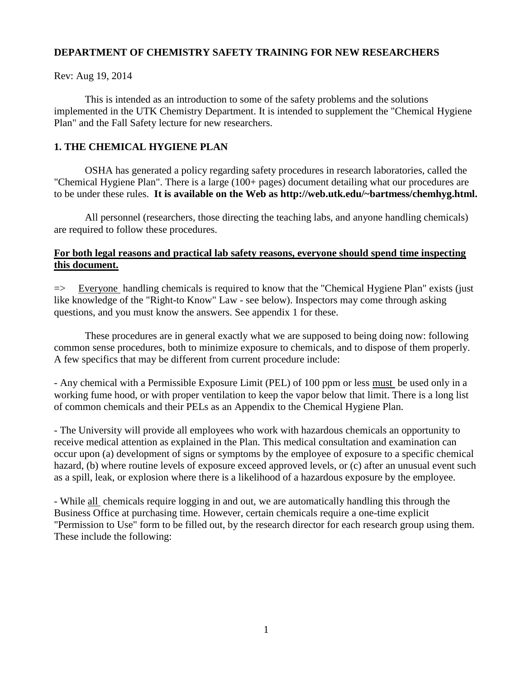# **DEPARTMENT OF CHEMISTRY SAFETY TRAINING FOR NEW RESEARCHERS**

Rev: Aug 19, 2014

This is intended as an introduction to some of the safety problems and the solutions implemented in the UTK Chemistry Department. It is intended to supplement the "Chemical Hygiene Plan" and the Fall Safety lecture for new researchers.

# **1. THE CHEMICAL HYGIENE PLAN**

OSHA has generated a policy regarding safety procedures in research laboratories, called the "Chemical Hygiene Plan". There is a large (100+ pages) document detailing what our procedures are to be under these rules. **It is available on the Web as http://web.utk.edu/~bartmess/chemhyg.html.** 

All personnel (researchers, those directing the teaching labs, and anyone handling chemicals) are required to follow these procedures.

# **For both legal reasons and practical lab safety reasons, everyone should spend time inspecting this document.**

 $\Rightarrow$  Everyone handling chemicals is required to know that the "Chemical Hygiene Plan" exists (just like knowledge of the "Right-to Know" Law - see below). Inspectors may come through asking questions, and you must know the answers. See appendix 1 for these.

These procedures are in general exactly what we are supposed to being doing now: following common sense procedures, both to minimize exposure to chemicals, and to dispose of them properly. A few specifics that may be different from current procedure include:

- Any chemical with a Permissible Exposure Limit (PEL) of 100 ppm or less must be used only in a working fume hood, or with proper ventilation to keep the vapor below that limit. There is a long list of common chemicals and their PELs as an Appendix to the Chemical Hygiene Plan.

- The University will provide all employees who work with hazardous chemicals an opportunity to receive medical attention as explained in the Plan. This medical consultation and examination can occur upon (a) development of signs or symptoms by the employee of exposure to a specific chemical hazard, (b) where routine levels of exposure exceed approved levels, or (c) after an unusual event such as a spill, leak, or explosion where there is a likelihood of a hazardous exposure by the employee.

- While all chemicals require logging in and out, we are automatically handling this through the Business Office at purchasing time. However, certain chemicals require a one-time explicit "Permission to Use" form to be filled out, by the research director for each research group using them. These include the following: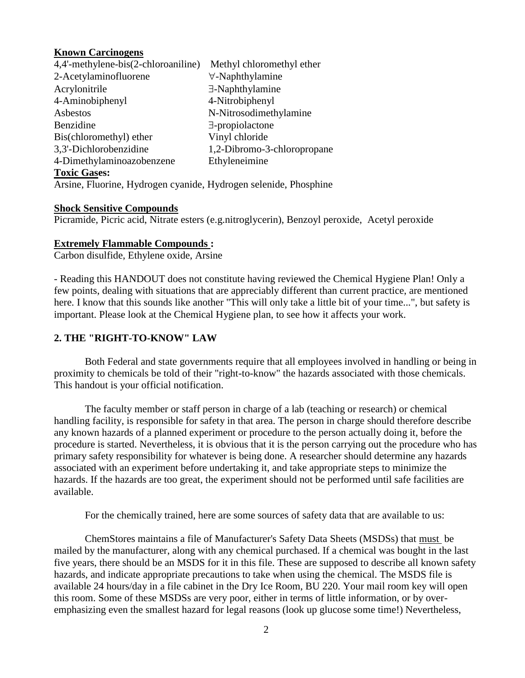## **Known Carcinogens**

| 4,4'-methylene-bis(2-chloroaniline)                              | Methyl chloromethyl ether   |
|------------------------------------------------------------------|-----------------------------|
| 2-Acetylaminofluorene                                            | $\forall$ -Naphthylamine    |
| Acrylonitrile                                                    | $\exists$ -Naphthylamine    |
| 4-Aminobiphenyl                                                  | 4-Nitrobiphenyl             |
| Asbestos                                                         | N-Nitrosodimethylamine      |
| Benzidine                                                        | $\exists$ -propiolactone    |
| Bis(chloromethyl) ether                                          | Vinyl chloride              |
| 3,3'-Dichlorobenzidine                                           | 1,2-Dibromo-3-chloropropane |
| 4-Dimethylaminoazobenzene                                        | Ethyleneimine               |
| <b>Toxic Gases:</b>                                              |                             |
| Arsine, Fluorine, Hydrogen cyanide, Hydrogen selenide, Phosphine |                             |

## **Shock Sensitive Compounds**

Picramide, Picric acid, Nitrate esters (e.g.nitroglycerin), Benzoyl peroxide, Acetyl peroxide

# **Extremely Flammable Compounds :**

Carbon disulfide, Ethylene oxide, Arsine

- Reading this HANDOUT does not constitute having reviewed the Chemical Hygiene Plan! Only a few points, dealing with situations that are appreciably different than current practice, are mentioned here. I know that this sounds like another "This will only take a little bit of your time...", but safety is important. Please look at the Chemical Hygiene plan, to see how it affects your work.

# **2. THE "RIGHT-TO-KNOW" LAW**

Both Federal and state governments require that all employees involved in handling or being in proximity to chemicals be told of their "right-to-know" the hazards associated with those chemicals. This handout is your official notification.

The faculty member or staff person in charge of a lab (teaching or research) or chemical handling facility, is responsible for safety in that area. The person in charge should therefore describe any known hazards of a planned experiment or procedure to the person actually doing it, before the procedure is started. Nevertheless, it is obvious that it is the person carrying out the procedure who has primary safety responsibility for whatever is being done. A researcher should determine any hazards associated with an experiment before undertaking it, and take appropriate steps to minimize the hazards. If the hazards are too great, the experiment should not be performed until safe facilities are available.

For the chemically trained, here are some sources of safety data that are available to us:

ChemStores maintains a file of Manufacturer's Safety Data Sheets (MSDSs) that must be mailed by the manufacturer, along with any chemical purchased. If a chemical was bought in the last five years, there should be an MSDS for it in this file. These are supposed to describe all known safety hazards, and indicate appropriate precautions to take when using the chemical. The MSDS file is available 24 hours/day in a file cabinet in the Dry Ice Room, BU 220. Your mail room key will open this room. Some of these MSDSs are very poor, either in terms of little information, or by overemphasizing even the smallest hazard for legal reasons (look up glucose some time!) Nevertheless,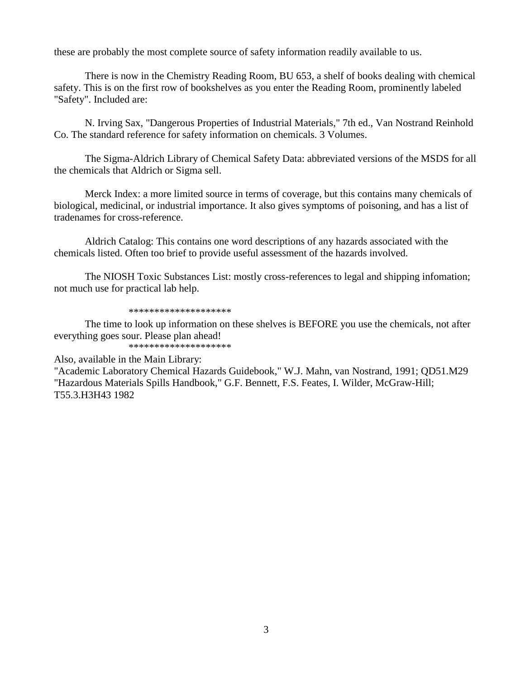these are probably the most complete source of safety information readily available to us.

There is now in the Chemistry Reading Room, BU 653, a shelf of books dealing with chemical safety. This is on the first row of bookshelves as you enter the Reading Room, prominently labeled "Safety". Included are:

N. Irving Sax, "Dangerous Properties of Industrial Materials," 7th ed., Van Nostrand Reinhold Co. The standard reference for safety information on chemicals. 3 Volumes.

The Sigma-Aldrich Library of Chemical Safety Data: abbreviated versions of the MSDS for all the chemicals that Aldrich or Sigma sell.

Merck Index: a more limited source in terms of coverage, but this contains many chemicals of biological, medicinal, or industrial importance. It also gives symptoms of poisoning, and has a list of tradenames for cross-reference.

Aldrich Catalog: This contains one word descriptions of any hazards associated with the chemicals listed. Often too brief to provide useful assessment of the hazards involved.

The NIOSH Toxic Substances List: mostly cross-references to legal and shipping infomation; not much use for practical lab help.

\*\*\*\*\*\*\*\*\*\*\*\*\*\*\*\*\*\*\*\*

The time to look up information on these shelves is BEFORE you use the chemicals, not after everything goes sour. Please plan ahead! \*\*\*\*\*\*\*\*\*\*\*\*\*\*\*\*\*\*\*\*

Also, available in the Main Library:

"Academic Laboratory Chemical Hazards Guidebook," W.J. Mahn, van Nostrand, 1991; QD51.M29 "Hazardous Materials Spills Handbook," G.F. Bennett, F.S. Feates, I. Wilder, McGraw-Hill; T55.3.H3H43 1982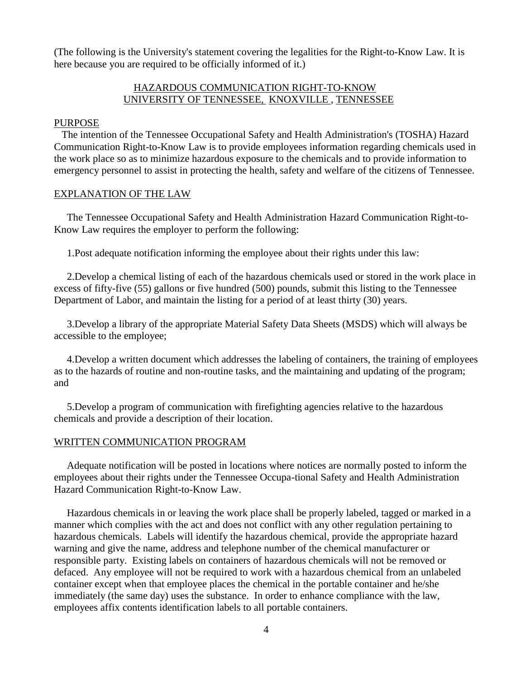(The following is the University's statement covering the legalities for the Right-to-Know Law. It is here because you are required to be officially informed of it.)

# HAZARDOUS COMMUNICATION RIGHT-TO-KNOW UNIVERSITY OF TENNESSEE, KNOXVILLE , TENNESSEE

## PURPOSE

 The intention of the Tennessee Occupational Safety and Health Administration's (TOSHA) Hazard Communication Right-to-Know Law is to provide employees information regarding chemicals used in the work place so as to minimize hazardous exposure to the chemicals and to provide information to emergency personnel to assist in protecting the health, safety and welfare of the citizens of Tennessee.

## EXPLANATION OF THE LAW

 The Tennessee Occupational Safety and Health Administration Hazard Communication Right-to-Know Law requires the employer to perform the following:

1.Post adequate notification informing the employee about their rights under this law:

 2.Develop a chemical listing of each of the hazardous chemicals used or stored in the work place in excess of fifty-five (55) gallons or five hundred (500) pounds, submit this listing to the Tennessee Department of Labor, and maintain the listing for a period of at least thirty (30) years.

 3.Develop a library of the appropriate Material Safety Data Sheets (MSDS) which will always be accessible to the employee;

 4.Develop a written document which addresses the labeling of containers, the training of employees as to the hazards of routine and non-routine tasks, and the maintaining and updating of the program; and

 5.Develop a program of communication with firefighting agencies relative to the hazardous chemicals and provide a description of their location.

## WRITTEN COMMUNICATION PROGRAM

 Adequate notification will be posted in locations where notices are normally posted to inform the employees about their rights under the Tennessee Occupa-tional Safety and Health Administration Hazard Communication Right-to-Know Law.

 Hazardous chemicals in or leaving the work place shall be properly labeled, tagged or marked in a manner which complies with the act and does not conflict with any other regulation pertaining to hazardous chemicals. Labels will identify the hazardous chemical, provide the appropriate hazard warning and give the name, address and telephone number of the chemical manufacturer or responsible party. Existing labels on containers of hazardous chemicals will not be removed or defaced. Any employee will not be required to work with a hazardous chemical from an unlabeled container except when that employee places the chemical in the portable container and he/she immediately (the same day) uses the substance. In order to enhance compliance with the law, employees affix contents identification labels to all portable containers.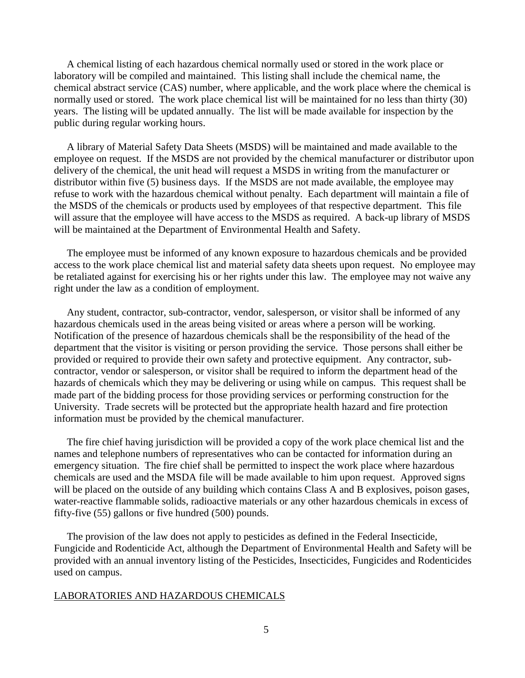A chemical listing of each hazardous chemical normally used or stored in the work place or laboratory will be compiled and maintained. This listing shall include the chemical name, the chemical abstract service (CAS) number, where applicable, and the work place where the chemical is normally used or stored. The work place chemical list will be maintained for no less than thirty (30) years. The listing will be updated annually. The list will be made available for inspection by the public during regular working hours.

 A library of Material Safety Data Sheets (MSDS) will be maintained and made available to the employee on request. If the MSDS are not provided by the chemical manufacturer or distributor upon delivery of the chemical, the unit head will request a MSDS in writing from the manufacturer or distributor within five (5) business days. If the MSDS are not made available, the employee may refuse to work with the hazardous chemical without penalty. Each department will maintain a file of the MSDS of the chemicals or products used by employees of that respective department. This file will assure that the employee will have access to the MSDS as required. A back-up library of MSDS will be maintained at the Department of Environmental Health and Safety.

 The employee must be informed of any known exposure to hazardous chemicals and be provided access to the work place chemical list and material safety data sheets upon request. No employee may be retaliated against for exercising his or her rights under this law. The employee may not waive any right under the law as a condition of employment.

 Any student, contractor, sub-contractor, vendor, salesperson, or visitor shall be informed of any hazardous chemicals used in the areas being visited or areas where a person will be working. Notification of the presence of hazardous chemicals shall be the responsibility of the head of the department that the visitor is visiting or person providing the service. Those persons shall either be provided or required to provide their own safety and protective equipment. Any contractor, subcontractor, vendor or salesperson, or visitor shall be required to inform the department head of the hazards of chemicals which they may be delivering or using while on campus. This request shall be made part of the bidding process for those providing services or performing construction for the University. Trade secrets will be protected but the appropriate health hazard and fire protection information must be provided by the chemical manufacturer.

 The fire chief having jurisdiction will be provided a copy of the work place chemical list and the names and telephone numbers of representatives who can be contacted for information during an emergency situation. The fire chief shall be permitted to inspect the work place where hazardous chemicals are used and the MSDA file will be made available to him upon request. Approved signs will be placed on the outside of any building which contains Class A and B explosives, poison gases, water-reactive flammable solids, radioactive materials or any other hazardous chemicals in excess of fifty-five (55) gallons or five hundred (500) pounds.

 The provision of the law does not apply to pesticides as defined in the Federal Insecticide, Fungicide and Rodenticide Act, although the Department of Environmental Health and Safety will be provided with an annual inventory listing of the Pesticides, Insecticides, Fungicides and Rodenticides used on campus.

## LABORATORIES AND HAZARDOUS CHEMICALS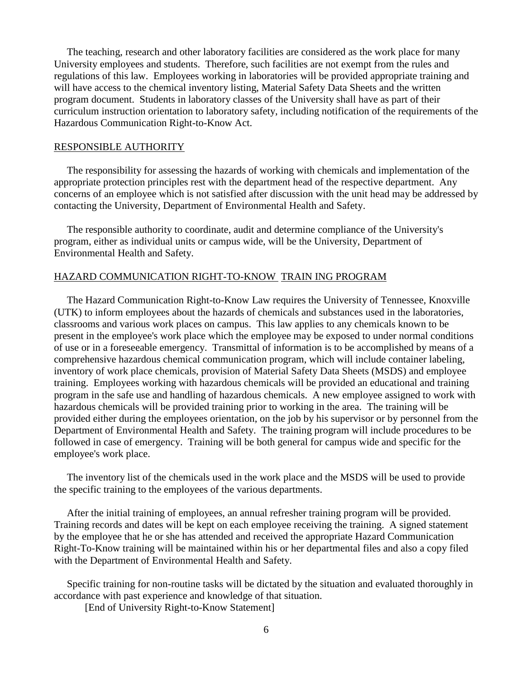The teaching, research and other laboratory facilities are considered as the work place for many University employees and students. Therefore, such facilities are not exempt from the rules and regulations of this law. Employees working in laboratories will be provided appropriate training and will have access to the chemical inventory listing, Material Safety Data Sheets and the written program document. Students in laboratory classes of the University shall have as part of their curriculum instruction orientation to laboratory safety, including notification of the requirements of the Hazardous Communication Right-to-Know Act.

#### RESPONSIBLE AUTHORITY

 The responsibility for assessing the hazards of working with chemicals and implementation of the appropriate protection principles rest with the department head of the respective department. Any concerns of an employee which is not satisfied after discussion with the unit head may be addressed by contacting the University, Department of Environmental Health and Safety.

 The responsible authority to coordinate, audit and determine compliance of the University's program, either as individual units or campus wide, will be the University, Department of Environmental Health and Safety.

#### HAZARD COMMUNICATION RIGHT-TO-KNOW TRAIN ING PROGRAM

 The Hazard Communication Right-to-Know Law requires the University of Tennessee, Knoxville (UTK) to inform employees about the hazards of chemicals and substances used in the laboratories, classrooms and various work places on campus. This law applies to any chemicals known to be present in the employee's work place which the employee may be exposed to under normal conditions of use or in a foreseeable emergency. Transmittal of information is to be accomplished by means of a comprehensive hazardous chemical communication program, which will include container labeling, inventory of work place chemicals, provision of Material Safety Data Sheets (MSDS) and employee training. Employees working with hazardous chemicals will be provided an educational and training program in the safe use and handling of hazardous chemicals. A new employee assigned to work with hazardous chemicals will be provided training prior to working in the area. The training will be provided either during the employees orientation, on the job by his supervisor or by personnel from the Department of Environmental Health and Safety. The training program will include procedures to be followed in case of emergency. Training will be both general for campus wide and specific for the employee's work place.

 The inventory list of the chemicals used in the work place and the MSDS will be used to provide the specific training to the employees of the various departments.

 After the initial training of employees, an annual refresher training program will be provided. Training records and dates will be kept on each employee receiving the training. A signed statement by the employee that he or she has attended and received the appropriate Hazard Communication Right-To-Know training will be maintained within his or her departmental files and also a copy filed with the Department of Environmental Health and Safety.

 Specific training for non-routine tasks will be dictated by the situation and evaluated thoroughly in accordance with past experience and knowledge of that situation.

[End of University Right-to-Know Statement]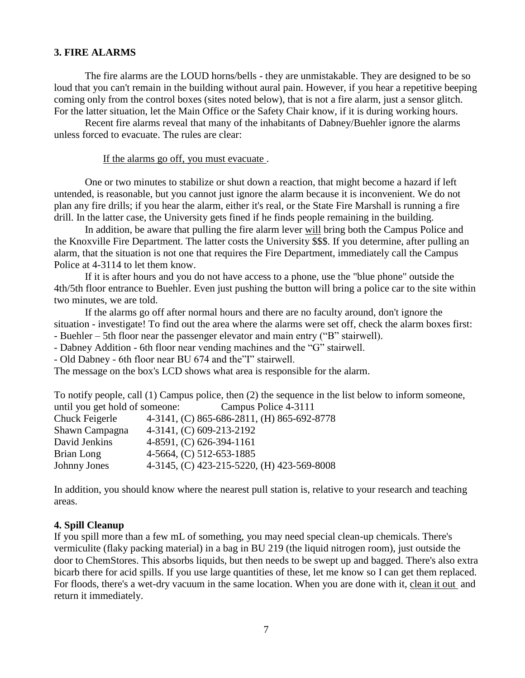# **3. FIRE ALARMS**

The fire alarms are the LOUD horns/bells - they are unmistakable. They are designed to be so loud that you can't remain in the building without aural pain. However, if you hear a repetitive beeping coming only from the control boxes (sites noted below), that is not a fire alarm, just a sensor glitch. For the latter situation, let the Main Office or the Safety Chair know, if it is during working hours.

Recent fire alarms reveal that many of the inhabitants of Dabney/Buehler ignore the alarms unless forced to evacuate. The rules are clear:

If the alarms go off, you must evacuate .

One or two minutes to stabilize or shut down a reaction, that might become a hazard if left untended, is reasonable, but you cannot just ignore the alarm because it is inconvenient. We do not plan any fire drills; if you hear the alarm, either it's real, or the State Fire Marshall is running a fire drill. In the latter case, the University gets fined if he finds people remaining in the building.

In addition, be aware that pulling the fire alarm lever will bring both the Campus Police and the Knoxville Fire Department. The latter costs the University \$\$\$. If you determine, after pulling an alarm, that the situation is not one that requires the Fire Department, immediately call the Campus Police at 4-3114 to let them know.

If it is after hours and you do not have access to a phone, use the "blue phone" outside the 4th/5th floor entrance to Buehler. Even just pushing the button will bring a police car to the site within two minutes, we are told.

If the alarms go off after normal hours and there are no faculty around, don't ignore the situation - investigate! To find out the area where the alarms were set off, check the alarm boxes first: - Buehler – 5th floor near the passenger elevator and main entry ("B" stairwell).

- Dabney Addition - 6th floor near vending machines and the "G" stairwell.

- Old Dabney - 6th floor near BU 674 and the"I" stairwell.

The message on the box's LCD shows what area is responsible for the alarm.

| To notify people, call (1) Campus police, then (2) the sequence in the list below to inform someone, |
|------------------------------------------------------------------------------------------------------|
| until you get hold of someone: Campus Police 4-3111                                                  |
| 4-3141, (C) 865-686-2811, (H) 865-692-8778                                                           |
| 4-3141, (C) 609-213-2192                                                                             |
| $4-8591$ , (C) 626-394-1161                                                                          |
| 4-5664, (C) 512-653-1885                                                                             |
| 4-3145, (C) 423-215-5220, (H) 423-569-8008                                                           |
|                                                                                                      |

In addition, you should know where the nearest pull station is, relative to your research and teaching areas.

## **4. Spill Cleanup**

If you spill more than a few mL of something, you may need special clean-up chemicals. There's vermiculite (flaky packing material) in a bag in BU 219 (the liquid nitrogen room), just outside the door to ChemStores. This absorbs liquids, but then needs to be swept up and bagged. There's also extra bicarb there for acid spills. If you use large quantities of these, let me know so I can get them replaced. For floods, there's a wet-dry vacuum in the same location. When you are done with it, clean it out and return it immediately.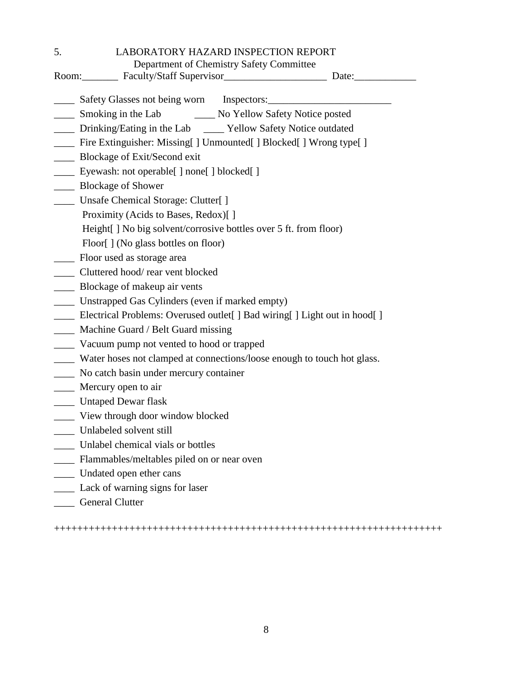5. LABORATORY HAZARD INSPECTION REPORT

 Department of Chemistry Safety Committee Room:\_\_\_\_\_\_\_ Faculty/Staff Supervisor\_\_\_\_\_\_\_\_\_\_\_\_\_\_\_\_\_\_\_\_ Date:\_\_\_\_\_\_\_\_\_\_\_\_ Safety Glasses not being worn Inspectors: \_\_\_\_ Smoking in the Lab \_\_\_\_ No Yellow Safety Notice posted \_\_\_\_ Drinking/Eating in the Lab \_\_\_\_ Yellow Safety Notice outdated \_\_\_\_ Fire Extinguisher: Missing[ ] Unmounted[ ] Blocked[ ] Wrong type[ ] \_\_\_\_ Blockage of Exit/Second exit \_\_\_\_ Eyewash: not operable[ ] none[ ] blocked[ ] \_\_\_\_ Blockage of Shower \_\_\_\_ Unsafe Chemical Storage: Clutter[ ] Proximity (Acids to Bases, Redox)[ ] Height[ ] No big solvent/corrosive bottles over 5 ft. from floor) Floor[] (No glass bottles on floor) \_\_\_\_ Floor used as storage area \_\_\_\_ Cluttered hood/ rear vent blocked \_\_\_\_ Blockage of makeup air vents \_\_\_\_ Unstrapped Gas Cylinders (even if marked empty) \_\_\_\_ Electrical Problems: Overused outlet[ ] Bad wiring[ ] Light out in hood[ ] \_\_\_\_ Machine Guard / Belt Guard missing \_\_\_\_ Vacuum pump not vented to hood or trapped \_\_\_\_ Water hoses not clamped at connections/loose enough to touch hot glass. \_\_\_\_ No catch basin under mercury container **Mercury open to air** \_\_\_\_ Untaped Dewar flask \_\_\_\_ View through door window blocked \_\_\_\_ Unlabeled solvent still \_\_\_\_ Unlabel chemical vials or bottles \_\_\_\_ Flammables/meltables piled on or near oven \_\_\_\_ Undated open ether cans \_\_\_\_ Lack of warning signs for laser

\_\_\_\_ General Clutter

+++++++++++++++++++++++++++++++++++++++++++++++++++++++++++++++++++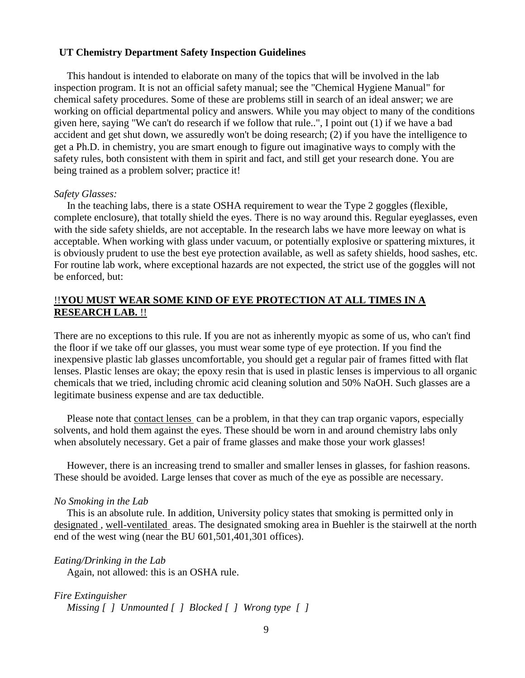## **UT Chemistry Department Safety Inspection Guidelines**

 This handout is intended to elaborate on many of the topics that will be involved in the lab inspection program. It is not an official safety manual; see the "Chemical Hygiene Manual" for chemical safety procedures. Some of these are problems still in search of an ideal answer; we are working on official departmental policy and answers. While you may object to many of the conditions given here, saying "We can't do research if we follow that rule..", I point out (1) if we have a bad accident and get shut down, we assuredly won't be doing research; (2) if you have the intelligence to get a Ph.D. in chemistry, you are smart enough to figure out imaginative ways to comply with the safety rules, both consistent with them in spirit and fact, and still get your research done. You are being trained as a problem solver; practice it!

### *Safety Glasses:*

 In the teaching labs, there is a state OSHA requirement to wear the Type 2 goggles (flexible, complete enclosure), that totally shield the eyes. There is no way around this. Regular eyeglasses, even with the side safety shields, are not acceptable. In the research labs we have more leeway on what is acceptable. When working with glass under vacuum, or potentially explosive or spattering mixtures, it is obviously prudent to use the best eye protection available, as well as safety shields, hood sashes, etc. For routine lab work, where exceptional hazards are not expected, the strict use of the goggles will not be enforced, but:

## !!**YOU MUST WEAR SOME KIND OF EYE PROTECTION AT ALL TIMES IN A RESEARCH LAB.** !!

There are no exceptions to this rule. If you are not as inherently myopic as some of us, who can't find the floor if we take off our glasses, you must wear some type of eye protection. If you find the inexpensive plastic lab glasses uncomfortable, you should get a regular pair of frames fitted with flat lenses. Plastic lenses are okay; the epoxy resin that is used in plastic lenses is impervious to all organic chemicals that we tried, including chromic acid cleaning solution and 50% NaOH. Such glasses are a legitimate business expense and are tax deductible.

Please note that contact lenses can be a problem, in that they can trap organic vapors, especially solvents, and hold them against the eyes. These should be worn in and around chemistry labs only when absolutely necessary. Get a pair of frame glasses and make those your work glasses!

 However, there is an increasing trend to smaller and smaller lenses in glasses, for fashion reasons. These should be avoided. Large lenses that cover as much of the eye as possible are necessary.

#### *No Smoking in the Lab*

 This is an absolute rule. In addition, University policy states that smoking is permitted only in designated , well-ventilated areas. The designated smoking area in Buehler is the stairwell at the north end of the west wing (near the BU 601,501,401,301 offices).

*Eating/Drinking in the Lab*

Again, not allowed: this is an OSHA rule.

*Fire Extinguisher Missing [ ] Unmounted [ ] Blocked [ ] Wrong type [ ]*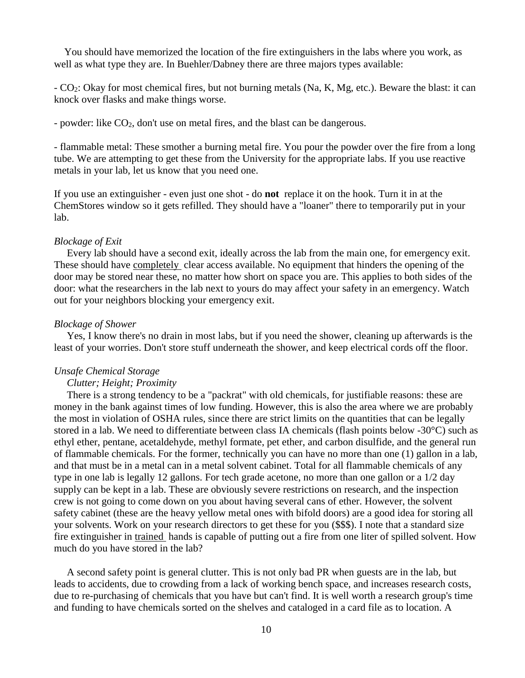You should have memorized the location of the fire extinguishers in the labs where you work, as well as what type they are. In Buehler/Dabney there are three majors types available:

- CO2: Okay for most chemical fires, but not burning metals (Na, K, Mg, etc.). Beware the blast: it can knock over flasks and make things worse.

- powder: like CO<sub>2</sub>, don't use on metal fires, and the blast can be dangerous.

- flammable metal: These smother a burning metal fire. You pour the powder over the fire from a long tube. We are attempting to get these from the University for the appropriate labs. If you use reactive metals in your lab, let us know that you need one.

If you use an extinguisher - even just one shot - do **not** replace it on the hook. Turn it in at the ChemStores window so it gets refilled. They should have a "loaner" there to temporarily put in your lab.

#### *Blockage of Exit*

 Every lab should have a second exit, ideally across the lab from the main one, for emergency exit. These should have completely clear access available. No equipment that hinders the opening of the door may be stored near these, no matter how short on space you are. This applies to both sides of the door: what the researchers in the lab next to yours do may affect your safety in an emergency. Watch out for your neighbors blocking your emergency exit.

## *Blockage of Shower*

 Yes, I know there's no drain in most labs, but if you need the shower, cleaning up afterwards is the least of your worries. Don't store stuff underneath the shower, and keep electrical cords off the floor.

#### *Unsafe Chemical Storage*

#### *Clutter; Height; Proximity*

 There is a strong tendency to be a "packrat" with old chemicals, for justifiable reasons: these are money in the bank against times of low funding. However, this is also the area where we are probably the most in violation of OSHA rules, since there are strict limits on the quantities that can be legally stored in a lab. We need to differentiate between class IA chemicals (flash points below -30°C) such as ethyl ether, pentane, acetaldehyde, methyl formate, pet ether, and carbon disulfide, and the general run of flammable chemicals. For the former, technically you can have no more than one (1) gallon in a lab, and that must be in a metal can in a metal solvent cabinet. Total for all flammable chemicals of any type in one lab is legally 12 gallons. For tech grade acetone, no more than one gallon or a 1/2 day supply can be kept in a lab. These are obviously severe restrictions on research, and the inspection crew is not going to come down on you about having several cans of ether. However, the solvent safety cabinet (these are the heavy yellow metal ones with bifold doors) are a good idea for storing all your solvents. Work on your research directors to get these for you (\$\$\$). I note that a standard size fire extinguisher in trained hands is capable of putting out a fire from one liter of spilled solvent. How much do you have stored in the lab?

 A second safety point is general clutter. This is not only bad PR when guests are in the lab, but leads to accidents, due to crowding from a lack of working bench space, and increases research costs, due to re-purchasing of chemicals that you have but can't find. It is well worth a research group's time and funding to have chemicals sorted on the shelves and cataloged in a card file as to location. A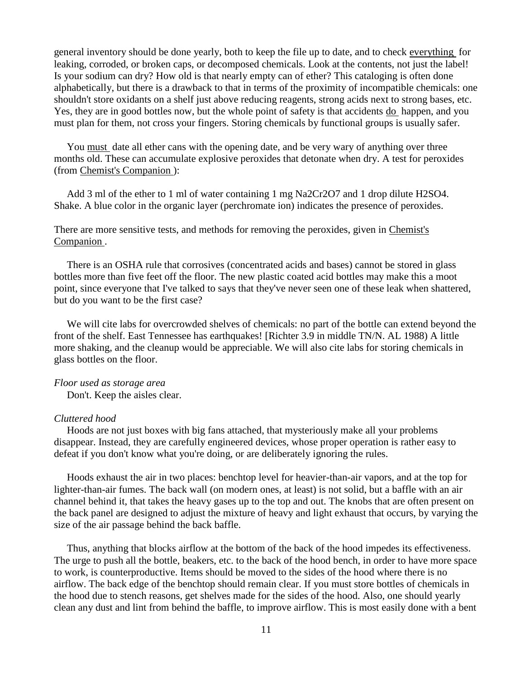general inventory should be done yearly, both to keep the file up to date, and to check everything for leaking, corroded, or broken caps, or decomposed chemicals. Look at the contents, not just the label! Is your sodium can dry? How old is that nearly empty can of ether? This cataloging is often done alphabetically, but there is a drawback to that in terms of the proximity of incompatible chemicals: one shouldn't store oxidants on a shelf just above reducing reagents, strong acids next to strong bases, etc. Yes, they are in good bottles now, but the whole point of safety is that accidents do happen, and you must plan for them, not cross your fingers. Storing chemicals by functional groups is usually safer.

 You must date all ether cans with the opening date, and be very wary of anything over three months old. These can accumulate explosive peroxides that detonate when dry. A test for peroxides (from Chemist's Companion ):

 Add 3 ml of the ether to 1 ml of water containing 1 mg Na2Cr2O7 and 1 drop dilute H2SO4. Shake. A blue color in the organic layer (perchromate ion) indicates the presence of peroxides.

## There are more sensitive tests, and methods for removing the peroxides, given in Chemist's Companion .

 There is an OSHA rule that corrosives (concentrated acids and bases) cannot be stored in glass bottles more than five feet off the floor. The new plastic coated acid bottles may make this a moot point, since everyone that I've talked to says that they've never seen one of these leak when shattered, but do you want to be the first case?

 We will cite labs for overcrowded shelves of chemicals: no part of the bottle can extend beyond the front of the shelf. East Tennessee has earthquakes! [Richter 3.9 in middle TN/N. AL 1988) A little more shaking, and the cleanup would be appreciable. We will also cite labs for storing chemicals in glass bottles on the floor.

# *Floor used as storage area*

Don't. Keep the aisles clear.

## *Cluttered hood*

 Hoods are not just boxes with big fans attached, that mysteriously make all your problems disappear. Instead, they are carefully engineered devices, whose proper operation is rather easy to defeat if you don't know what you're doing, or are deliberately ignoring the rules.

 Hoods exhaust the air in two places: benchtop level for heavier-than-air vapors, and at the top for lighter-than-air fumes. The back wall (on modern ones, at least) is not solid, but a baffle with an air channel behind it, that takes the heavy gases up to the top and out. The knobs that are often present on the back panel are designed to adjust the mixture of heavy and light exhaust that occurs, by varying the size of the air passage behind the back baffle.

 Thus, anything that blocks airflow at the bottom of the back of the hood impedes its effectiveness. The urge to push all the bottle, beakers, etc. to the back of the hood bench, in order to have more space to work, is counterproductive. Items should be moved to the sides of the hood where there is no airflow. The back edge of the benchtop should remain clear. If you must store bottles of chemicals in the hood due to stench reasons, get shelves made for the sides of the hood. Also, one should yearly clean any dust and lint from behind the baffle, to improve airflow. This is most easily done with a bent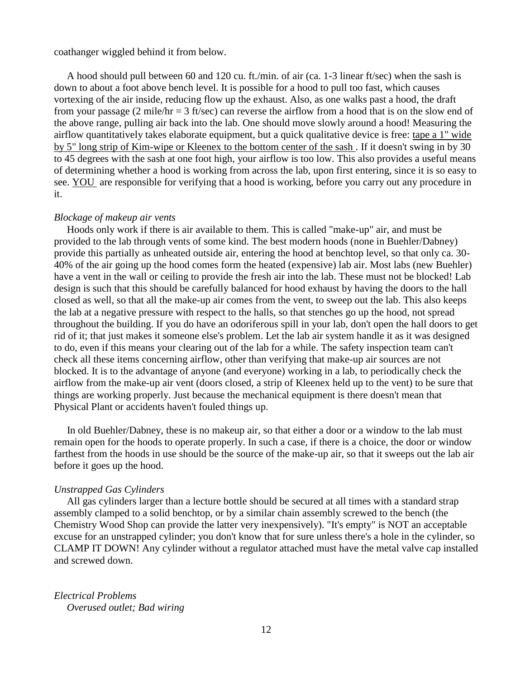coathanger wiggled behind it from below.

 A hood should pull between 60 and 120 cu. ft./min. of air (ca. 1-3 linear ft/sec) when the sash is down to about a foot above bench level. It is possible for a hood to pull too fast, which causes vortexing of the air inside, reducing flow up the exhaust. Also, as one walks past a hood, the draft from your passage (2 mile/hr = 3 ft/sec) can reverse the airflow from a hood that is on the slow end of the above range, pulling air back into the lab. One should move slowly around a hood! Measuring the airflow quantitatively takes elaborate equipment, but a quick qualitative device is free: tape a 1" wide by 5" long strip of Kim-wipe or Kleenex to the bottom center of the sash . If it doesn't swing in by 30 to 45 degrees with the sash at one foot high, your airflow is too low. This also provides a useful means of determining whether a hood is working from across the lab, upon first entering, since it is so easy to see. YOU are responsible for verifying that a hood is working, before you carry out any procedure in it.

## *Blockage of makeup air vents*

 Hoods only work if there is air available to them. This is called "make-up" air, and must be provided to the lab through vents of some kind. The best modern hoods (none in Buehler/Dabney) provide this partially as unheated outside air, entering the hood at benchtop level, so that only ca. 30- 40% of the air going up the hood comes form the heated (expensive) lab air. Most labs (new Buehler) have a vent in the wall or ceiling to provide the fresh air into the lab. These must not be blocked! Lab design is such that this should be carefully balanced for hood exhaust by having the doors to the hall closed as well, so that all the make-up air comes from the vent, to sweep out the lab. This also keeps the lab at a negative pressure with respect to the halls, so that stenches go up the hood, not spread throughout the building. If you do have an odoriferous spill in your lab, don't open the hall doors to get rid of it; that just makes it someone else's problem. Let the lab air system handle it as it was designed to do, even if this means your clearing out of the lab for a while. The safety inspection team can't check all these items concerning airflow, other than verifying that make-up air sources are not blocked. It is to the advantage of anyone (and everyone) working in a lab, to periodically check the airflow from the make-up air vent (doors closed, a strip of Kleenex held up to the vent) to be sure that things are working properly. Just because the mechanical equipment is there doesn't mean that Physical Plant or accidents haven't fouled things up.

 In old Buehler/Dabney, these is no makeup air, so that either a door or a window to the lab must remain open for the hoods to operate properly. In such a case, if there is a choice, the door or window farthest from the hoods in use should be the source of the make-up air, so that it sweeps out the lab air before it goes up the hood.

## *Unstrapped Gas Cylinders*

 All gas cylinders larger than a lecture bottle should be secured at all times with a standard strap assembly clamped to a solid benchtop, or by a similar chain assembly screwed to the bench (the Chemistry Wood Shop can provide the latter very inexpensively). "It's empty" is NOT an acceptable excuse for an unstrapped cylinder; you don't know that for sure unless there's a hole in the cylinder, so CLAMP IT DOWN! Any cylinder without a regulator attached must have the metal valve cap installed and screwed down.

*Electrical Problems Overused outlet; Bad wiring*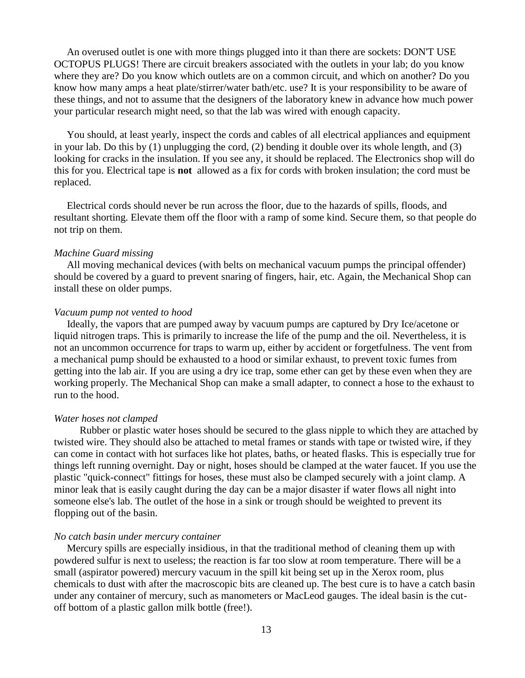An overused outlet is one with more things plugged into it than there are sockets: DON'T USE OCTOPUS PLUGS! There are circuit breakers associated with the outlets in your lab; do you know where they are? Do you know which outlets are on a common circuit, and which on another? Do you know how many amps a heat plate/stirrer/water bath/etc. use? It is your responsibility to be aware of these things, and not to assume that the designers of the laboratory knew in advance how much power your particular research might need, so that the lab was wired with enough capacity.

 You should, at least yearly, inspect the cords and cables of all electrical appliances and equipment in your lab. Do this by (1) unplugging the cord, (2) bending it double over its whole length, and (3) looking for cracks in the insulation. If you see any, it should be replaced. The Electronics shop will do this for you. Electrical tape is **not** allowed as a fix for cords with broken insulation; the cord must be replaced.

 Electrical cords should never be run across the floor, due to the hazards of spills, floods, and resultant shorting. Elevate them off the floor with a ramp of some kind. Secure them, so that people do not trip on them.

#### *Machine Guard missing*

 All moving mechanical devices (with belts on mechanical vacuum pumps the principal offender) should be covered by a guard to prevent snaring of fingers, hair, etc. Again, the Mechanical Shop can install these on older pumps.

## *Vacuum pump not vented to hood*

 Ideally, the vapors that are pumped away by vacuum pumps are captured by Dry Ice/acetone or liquid nitrogen traps. This is primarily to increase the life of the pump and the oil. Nevertheless, it is not an uncommon occurrence for traps to warm up, either by accident or forgetfulness. The vent from a mechanical pump should be exhausted to a hood or similar exhaust, to prevent toxic fumes from getting into the lab air. If you are using a dry ice trap, some ether can get by these even when they are working properly. The Mechanical Shop can make a small adapter, to connect a hose to the exhaust to run to the hood.

#### *Water hoses not clamped*

 Rubber or plastic water hoses should be secured to the glass nipple to which they are attached by twisted wire. They should also be attached to metal frames or stands with tape or twisted wire, if they can come in contact with hot surfaces like hot plates, baths, or heated flasks. This is especially true for things left running overnight. Day or night, hoses should be clamped at the water faucet. If you use the plastic "quick-connect" fittings for hoses, these must also be clamped securely with a joint clamp. A minor leak that is easily caught during the day can be a major disaster if water flows all night into someone else's lab. The outlet of the hose in a sink or trough should be weighted to prevent its flopping out of the basin.

## *No catch basin under mercury container*

 Mercury spills are especially insidious, in that the traditional method of cleaning them up with powdered sulfur is next to useless; the reaction is far too slow at room temperature. There will be a small (aspirator powered) mercury vacuum in the spill kit being set up in the Xerox room, plus chemicals to dust with after the macroscopic bits are cleaned up. The best cure is to have a catch basin under any container of mercury, such as manometers or MacLeod gauges. The ideal basin is the cutoff bottom of a plastic gallon milk bottle (free!).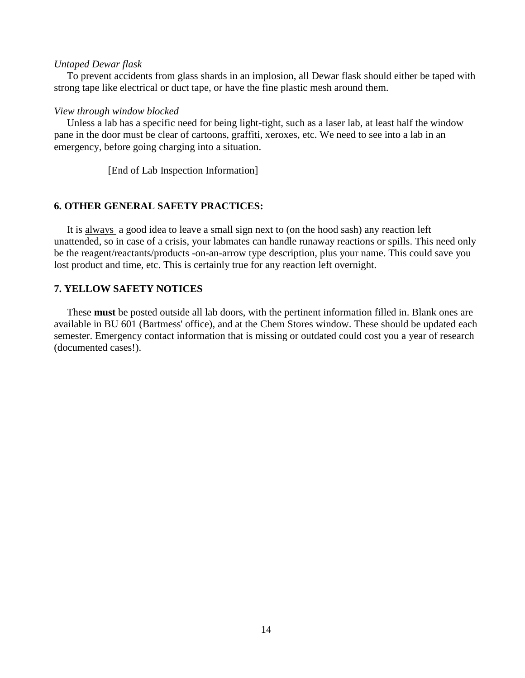#### *Untaped Dewar flask*

 To prevent accidents from glass shards in an implosion, all Dewar flask should either be taped with strong tape like electrical or duct tape, or have the fine plastic mesh around them.

#### *View through window blocked*

 Unless a lab has a specific need for being light-tight, such as a laser lab, at least half the window pane in the door must be clear of cartoons, graffiti, xeroxes, etc. We need to see into a lab in an emergency, before going charging into a situation.

[End of Lab Inspection Information]

#### **6. OTHER GENERAL SAFETY PRACTICES:**

 It is always a good idea to leave a small sign next to (on the hood sash) any reaction left unattended, so in case of a crisis, your labmates can handle runaway reactions or spills. This need only be the reagent/reactants/products -on-an-arrow type description, plus your name. This could save you lost product and time, etc. This is certainly true for any reaction left overnight.

# **7. YELLOW SAFETY NOTICES**

 These **must** be posted outside all lab doors, with the pertinent information filled in. Blank ones are available in BU 601 (Bartmess' office), and at the Chem Stores window. These should be updated each semester. Emergency contact information that is missing or outdated could cost you a year of research (documented cases!).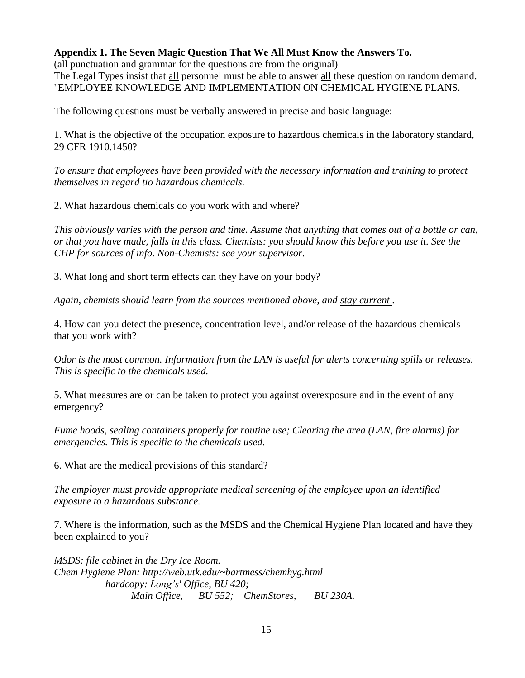# **Appendix 1. The Seven Magic Question That We All Must Know the Answers To.**

(all punctuation and grammar for the questions are from the original) The Legal Types insist that all personnel must be able to answer all these question on random demand. "EMPLOYEE KNOWLEDGE AND IMPLEMENTATION ON CHEMICAL HYGIENE PLANS.

The following questions must be verbally answered in precise and basic language:

1. What is the objective of the occupation exposure to hazardous chemicals in the laboratory standard, 29 CFR 1910.1450?

*To ensure that employees have been provided with the necessary information and training to protect themselves in regard tio hazardous chemicals.* 

2. What hazardous chemicals do you work with and where?

*This obviously varies with the person and time. Assume that anything that comes out of a bottle or can, or that you have made, falls in this class. Chemists: you should know this before you use it. See the CHP for sources of info. Non-Chemists: see your supervisor.* 

3. What long and short term effects can they have on your body?

*Again, chemists should learn from the sources mentioned above, and stay current .* 

4. How can you detect the presence, concentration level, and/or release of the hazardous chemicals that you work with?

*Odor is the most common. Information from the LAN is useful for alerts concerning spills or releases. This is specific to the chemicals used.* 

5. What measures are or can be taken to protect you against overexposure and in the event of any emergency?

*Fume hoods, sealing containers properly for routine use; Clearing the area (LAN, fire alarms) for emergencies. This is specific to the chemicals used.* 

6. What are the medical provisions of this standard?

*The employer must provide appropriate medical screening of the employee upon an identified exposure to a hazardous substance.* 

7. Where is the information, such as the MSDS and the Chemical Hygiene Plan located and have they been explained to you?

*MSDS: file cabinet in the Dry Ice Room. Chem Hygiene Plan: http://web.utk.edu/~bartmess/chemhyg.html hardcopy: Long's' Office, BU 420; Main Office, BU 552; ChemStores, BU 230A.*